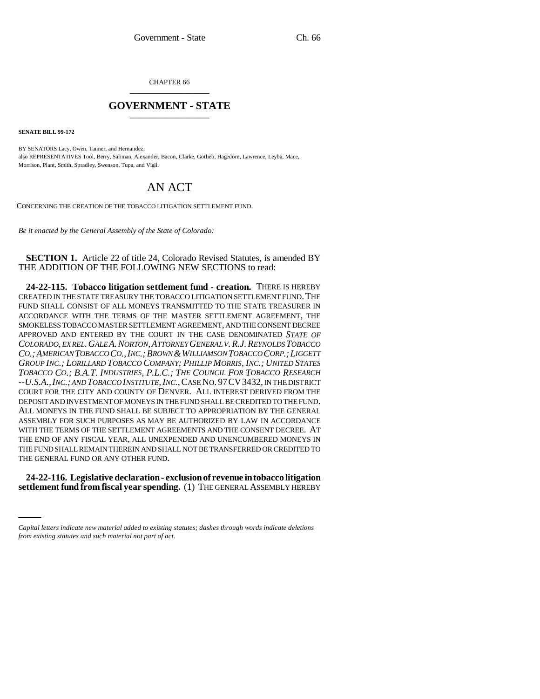CHAPTER 66 \_\_\_\_\_\_\_\_\_\_\_\_\_\_\_

## **GOVERNMENT - STATE** \_\_\_\_\_\_\_\_\_\_\_\_\_\_\_

**SENATE BILL 99-172** 

BY SENATORS Lacy, Owen, Tanner, and Hernandez; also REPRESENTATIVES Tool, Berry, Saliman, Alexander, Bacon, Clarke, Gotlieb, Hagedorn, Lawrence, Leyba, Mace, Morrison, Plant, Smith, Spradley, Swenson, Tupa, and Vigil.

## AN ACT

CONCERNING THE CREATION OF THE TOBACCO LITIGATION SETTLEMENT FUND.

*Be it enacted by the General Assembly of the State of Colorado:*

**SECTION 1.** Article 22 of title 24, Colorado Revised Statutes, is amended BY THE ADDITION OF THE FOLLOWING NEW SECTIONS to read:

**24-22-115. Tobacco litigation settlement fund - creation.** THERE IS HEREBY CREATED IN THE STATE TREASURY THE TOBACCO LITIGATION SETTLEMENT FUND. THE FUND SHALL CONSIST OF ALL MONEYS TRANSMITTED TO THE STATE TREASURER IN ACCORDANCE WITH THE TERMS OF THE MASTER SETTLEMENT AGREEMENT, THE SMOKELESS TOBACCO MASTER SETTLEMENT AGREEMENT, AND THE CONSENT DECREE APPROVED AND ENTERED BY THE COURT IN THE CASE DENOMINATED *STATE OF COLORADO, EX REL.GALE A.NORTON,ATTORNEY GENERAL V.R.J.REYNOLDS TOBACCO CO.;AMERICAN TOBACCO CO.,INC.;BROWN &WILLIAMSON TOBACCO CORP.;LIGGETT GROUP INC.; LORILLARD TOBACCO COMPANY; PHILLIP MORRIS, INC.; UNITED STATES TOBACCO CO.; B.A.T. INDUSTRIES, P.L.C.; THE COUNCIL FOR TOBACCO RESEARCH --U.S.A.,INC.; AND TOBACCO INSTITUTE,INC.*,CASE NO. 97CV3432, IN THE DISTRICT COURT FOR THE CITY AND COUNTY OF DENVER. ALL INTEREST DERIVED FROM THE DEPOSIT AND INVESTMENT OF MONEYS IN THE FUND SHALL BE CREDITED TO THE FUND. ALL MONEYS IN THE FUND SHALL BE SUBJECT TO APPROPRIATION BY THE GENERAL ASSEMBLY FOR SUCH PURPOSES AS MAY BE AUTHORIZED BY LAW IN ACCORDANCE WITH THE TERMS OF THE SETTLEMENT AGREEMENTS AND THE CONSENT DECREE. AT THE END OF ANY FISCAL YEAR, ALL UNEXPENDED AND UNENCUMBERED MONEYS IN THE FUND SHALL REMAIN THEREIN AND SHALL NOT BE TRANSFERRED OR CREDITED TO THE GENERAL FUND OR ANY OTHER FUND.

 **24-22-116. Legislative declaration - exclusion of revenue in tobacco litigation settlement fund from fiscal year spending.** (1) THE GENERAL ASSEMBLY HEREBY

*Capital letters indicate new material added to existing statutes; dashes through words indicate deletions from existing statutes and such material not part of act.*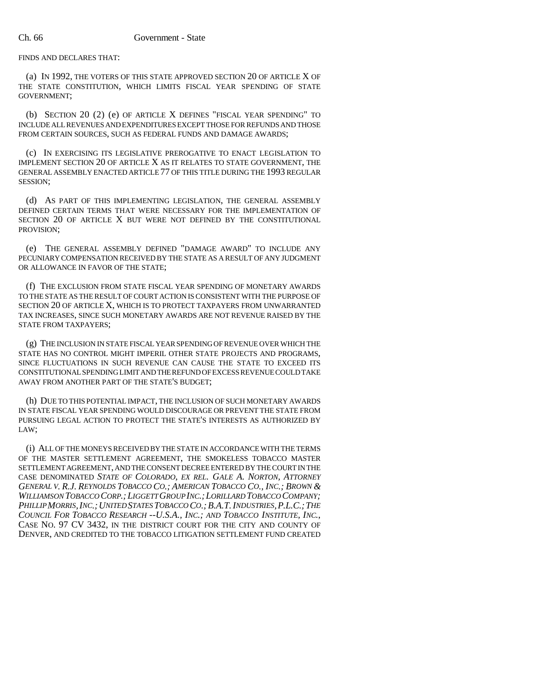FINDS AND DECLARES THAT:

(a) IN 1992, THE VOTERS OF THIS STATE APPROVED SECTION 20 OF ARTICLE X OF THE STATE CONSTITUTION, WHICH LIMITS FISCAL YEAR SPENDING OF STATE GOVERNMENT;

(b) SECTION 20 (2) (e) OF ARTICLE X DEFINES "FISCAL YEAR SPENDING" TO INCLUDE ALL REVENUES AND EXPENDITURES EXCEPT THOSE FOR REFUNDS AND THOSE FROM CERTAIN SOURCES, SUCH AS FEDERAL FUNDS AND DAMAGE AWARDS;

(c) IN EXERCISING ITS LEGISLATIVE PREROGATIVE TO ENACT LEGISLATION TO IMPLEMENT SECTION 20 OF ARTICLE X AS IT RELATES TO STATE GOVERNMENT, THE GENERAL ASSEMBLY ENACTED ARTICLE 77 OF THIS TITLE DURING THE 1993 REGULAR SESSION;

(d) AS PART OF THIS IMPLEMENTING LEGISLATION, THE GENERAL ASSEMBLY DEFINED CERTAIN TERMS THAT WERE NECESSARY FOR THE IMPLEMENTATION OF SECTION 20 OF ARTICLE X BUT WERE NOT DEFINED BY THE CONSTITUTIONAL PROVISION;

(e) THE GENERAL ASSEMBLY DEFINED "DAMAGE AWARD" TO INCLUDE ANY PECUNIARY COMPENSATION RECEIVED BY THE STATE AS A RESULT OF ANY JUDGMENT OR ALLOWANCE IN FAVOR OF THE STATE;

(f) THE EXCLUSION FROM STATE FISCAL YEAR SPENDING OF MONETARY AWARDS TO THE STATE AS THE RESULT OF COURT ACTION IS CONSISTENT WITH THE PURPOSE OF SECTION 20 OF ARTICLE X, WHICH IS TO PROTECT TAXPAYERS FROM UNWARRANTED TAX INCREASES, SINCE SUCH MONETARY AWARDS ARE NOT REVENUE RAISED BY THE STATE FROM TAXPAYERS;

(g) THE INCLUSION IN STATE FISCAL YEAR SPENDING OF REVENUE OVER WHICH THE STATE HAS NO CONTROL MIGHT IMPERIL OTHER STATE PROJECTS AND PROGRAMS, SINCE FLUCTUATIONS IN SUCH REVENUE CAN CAUSE THE STATE TO EXCEED ITS CONSTITUTIONAL SPENDING LIMIT AND THE REFUND OF EXCESS REVENUE COULD TAKE AWAY FROM ANOTHER PART OF THE STATE'S BUDGET;

(h) DUE TO THIS POTENTIAL IMPACT, THE INCLUSION OF SUCH MONETARY AWARDS IN STATE FISCAL YEAR SPENDING WOULD DISCOURAGE OR PREVENT THE STATE FROM PURSUING LEGAL ACTION TO PROTECT THE STATE'S INTERESTS AS AUTHORIZED BY LAW;

(i) ALL OF THE MONEYS RECEIVED BY THE STATE IN ACCORDANCE WITH THE TERMS OF THE MASTER SETTLEMENT AGREEMENT, THE SMOKELESS TOBACCO MASTER SETTLEMENT AGREEMENT, AND THE CONSENT DECREE ENTERED BY THE COURT IN THE CASE DENOMINATED *STATE OF COLORADO, EX REL. GALE A. NORTON, ATTORNEY GENERAL V. R.J. REYNOLDS TOBACCO CO.; AMERICAN TOBACCO CO., INC.; BROWN & WILLIAMSON TOBACCO CORP.; LIGGETT GROUP INC.;LORILLARD TOBACCO COMPANY; PHILLIP MORRIS,INC.;UNITED STATES TOBACCO CO.;B.A.T.INDUSTRIES,P.L.C.;THE COUNCIL FOR TOBACCO RESEARCH --U.S.A., INC.; AND TOBACCO INSTITUTE, INC.*, CASE NO. 97 CV 3432, IN THE DISTRICT COURT FOR THE CITY AND COUNTY OF DENVER, AND CREDITED TO THE TOBACCO LITIGATION SETTLEMENT FUND CREATED